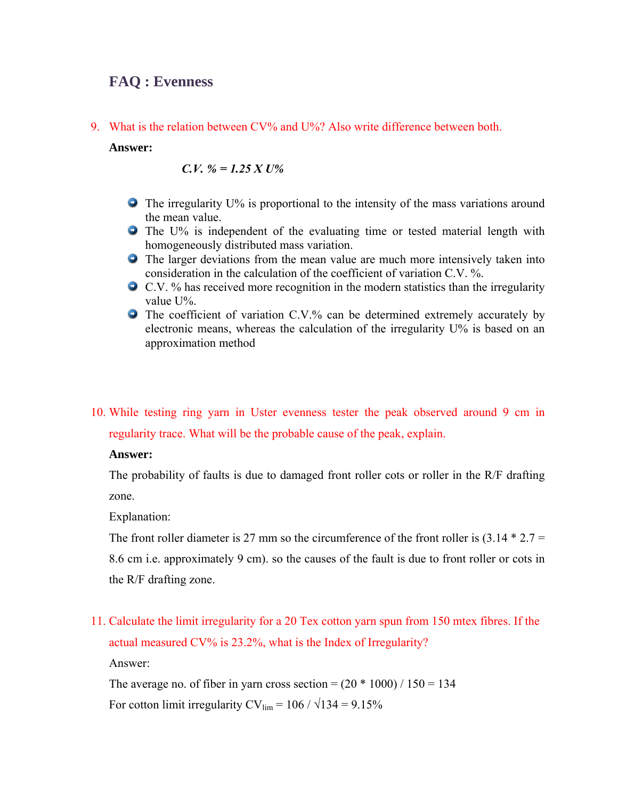# **FAQ : Evenness**

9. What is the relation between CV% and U%? Also write difference between both.

#### **Answer:**

*C.V. % = 1.25 X U%* 

- **•** The irregularity U% is proportional to the intensity of the mass variations around the mean value.
- **•** The U% is independent of the evaluating time or tested material length with homogeneously distributed mass variation.
- The larger deviations from the mean value are much more intensively taken into consideration in the calculation of the coefficient of variation C.V. %.
- C.V. % has received more recognition in the modern statistics than the irregularity value U%.
- **The coefficient of variation C.V.% can be determined extremely accurately by** electronic means, whereas the calculation of the irregularity U% is based on an approximation method
- 10. While testing ring yarn in Uster evenness tester the peak observed around 9 cm in regularity trace. What will be the probable cause of the peak, explain.

## **Answer:**

The probability of faults is due to damaged front roller cots or roller in the R/F drafting zone.

Explanation:

The front roller diameter is 27 mm so the circumference of the front roller is  $(3.14 * 2.7 =$ 8.6 cm i.e. approximately 9 cm). so the causes of the fault is due to front roller or cots in the R/F drafting zone.

11. Calculate the limit irregularity for a 20 Tex cotton yarn spun from 150 mtex fibres. If the

actual measured CV% is 23.2%, what is the Index of Irregularity?

Answer:

The average no. of fiber in yarn cross section =  $(20 * 1000) / 150 = 134$ 

For cotton limit irregularity CV<sub>lim</sub> =  $106 / \sqrt{134} = 9.15\%$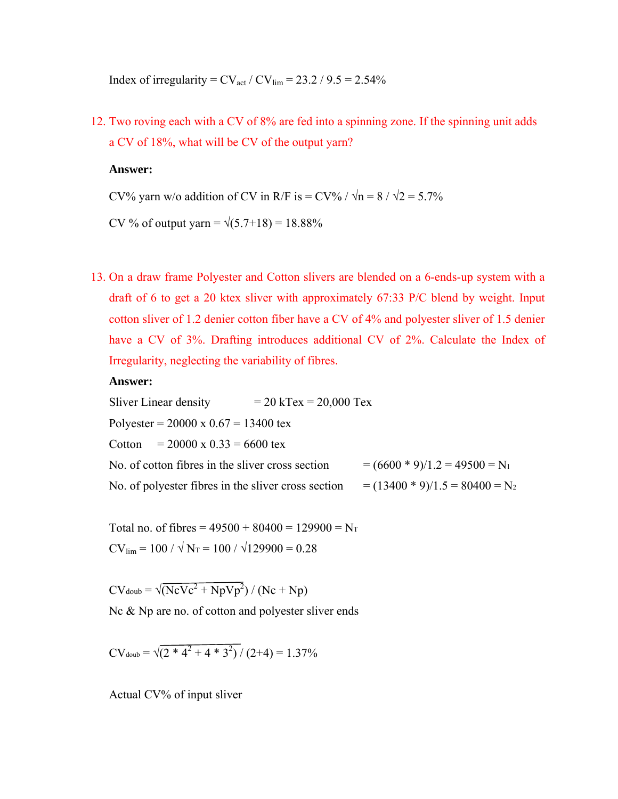Index of irregularity =  $CV_{\text{act}} / CV_{\text{lim}} = 23.2 / 9.5 = 2.54\%$ 

12. Two roving each with a CV of 8% are fed into a spinning zone. If the spinning unit adds a CV of 18%, what will be CV of the output yarn?

#### **Answer:**

CV% yarn w/o addition of CV in R/F is = CV% /  $\sqrt{n}$  = 8 /  $\sqrt{2}$  = 5.7%

CV % of output yarn =  $\sqrt{(5.7+18)}$  = 18.88%

13. On a draw frame Polyester and Cotton slivers are blended on a 6-ends-up system with a draft of 6 to get a 20 ktex sliver with approximately 67:33 P/C blend by weight. Input cotton sliver of 1.2 denier cotton fiber have a CV of 4% and polyester sliver of 1.5 denier have a CV of 3%. Drafting introduces additional CV of 2%. Calculate the Index of Irregularity, neglecting the variability of fibres.

## **Answer:**

Sliver Linear density  $= 20 \text{ kTex} = 20,000 \text{ Tex}$ Polyester =  $20000 \times 0.67 = 13400 \text{ tex}$ Cotton =  $20000 \times 0.33 = 6600 \text{ tex}$ No. of cotton fibres in the sliver cross section  $= (6600 * 9)/1.2 = 49500 = N_1$ No. of polyester fibres in the sliver cross section  $= (13400 * 9)/1.5 = 80400 = N_2$ 

Total no. of fibres =  $49500 + 80400 = 129900 = N_T$  $CV_{lim} = 100 / \sqrt{N_T} = 100 / \sqrt{129900} = 0.28$ 

 $CV_{\text{doub}} = \sqrt{(NcVc^2 + NpVp^2}) / (Nc + Np)$ 

Nc & Np are no. of cotton and polyester sliver ends

 $CV_{\text{doub}} = \sqrt{(2 * 4^2 + 4 * 3^2) / (2 + 4)} = 1.37\%$ 

Actual CV% of input sliver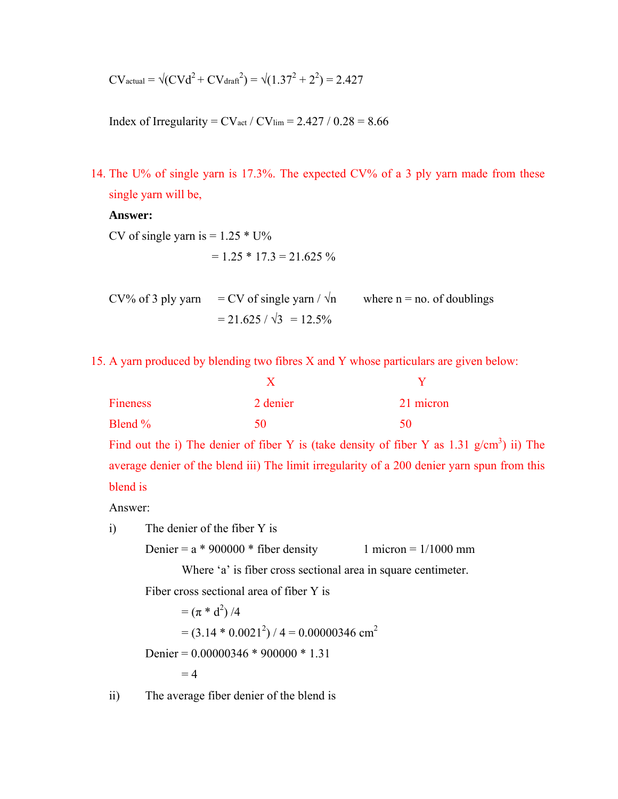$$
CV_{actual} = \sqrt{(CVd^2 + CV_{drat}^2)} = \sqrt{(1.37^2 + 2^2)} = 2.427
$$

Index of Irregularity =  $CV_{act} / CV_{lim}$  = 2.427 / 0.28 = 8.66

14. The U% of single yarn is 17.3%. The expected CV% of a 3 ply yarn made from these single yarn will be,

**Answer:** 

CV of single yarn is  $= 1.25 * U\%$ 

 $= 1.25 * 17.3 = 21.625 %$ 

CV% of 3 ply yarn = CV of single yarn  $/\sqrt{n}$  where n = no. of doublings  $= 21.625 / \sqrt{3} = 12.5\%$ 

15. A yarn produced by blending two fibres X and Y whose particulars are given below:

| <b>Fineness</b> | 2 denier | 21 micron |
|-----------------|----------|-----------|
| Blend %         | 50       | 50        |

Find out the i) The denier of fiber Y is (take density of fiber Y as  $1.31$  g/cm<sup>3</sup>) ii) The average denier of the blend iii) The limit irregularity of a 200 denier yarn spun from this blend is

Answer:

i) The denier of the fiber Y is

Denier =  $a * 900000 *$  fiber density 1 micron =  $1/1000$  mm

Where 'a' is fiber cross sectional area in square centimeter.

Fiber cross sectional area of fiber Y is

 $= (\pi * d^2)/4$  $= (3.14 * 0.0021<sup>2</sup>) / 4 = 0.00000346$  cm<sup>2</sup> Denier = 0.00000346 \* 900000 \* 1.31  $= 4$ 

ii) The average fiber denier of the blend is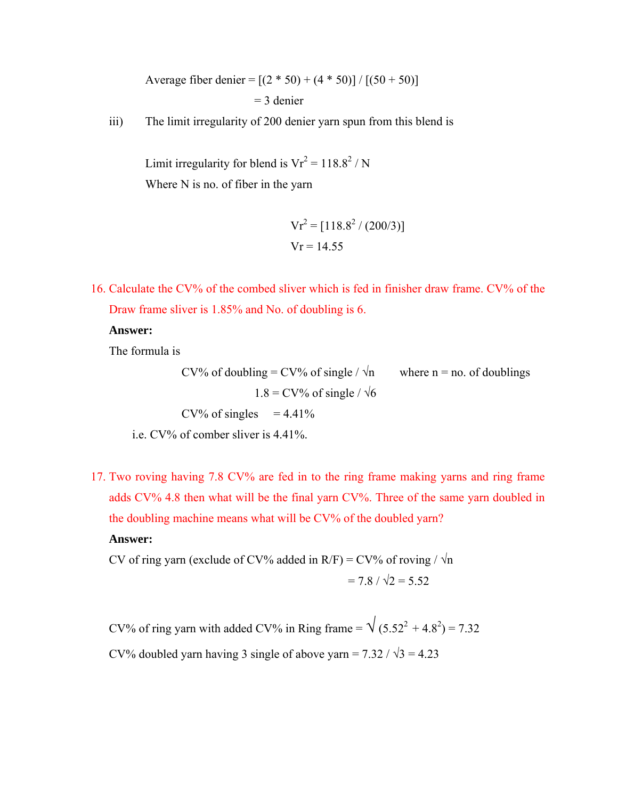Average fiber denier =  $[(2 * 50) + (4 * 50)] / [(50 + 50)]$  $=$  3 denier

iii) The limit irregularity of 200 denier yarn spun from this blend is

Limit irregularity for blend is  $Vr^2 = 118.8^2 / N$ Where N is no. of fiber in the yarn

$$
Vr^{2} = [118.8^{2} / (200/3)]
$$

$$
Vr = 14.55
$$

16. Calculate the CV% of the combed sliver which is fed in finisher draw frame. CV% of the Draw frame sliver is 1.85% and No. of doubling is 6.

**Answer:** 

The formula is

CV% of doubling = CV% of single /  $\sqrt{n}$  where n = no. of doublings  $1.8$  = CV% of single /  $\sqrt{6}$  $CV\%$  of singles = 4.41%

i.e.  $CV\%$  of comber sliver is  $4.41\%$ .

17. Two roving having 7.8 CV% are fed in to the ring frame making yarns and ring frame adds CV% 4.8 then what will be the final yarn CV%. Three of the same yarn doubled in the doubling machine means what will be CV% of the doubled yarn?

**Answer:** 

CV of ring yarn (exclude of CV% added in R/F) = CV% of roving /  $\sqrt{n}$  $= 7.8 / \sqrt{2} = 5.52$ 

CV% of ring yarn with added CV% in Ring frame =  $\sqrt{(5.52^2 + 4.8^2)} = 7.32$ CV% doubled yarn having 3 single of above yarn =  $7.32 / \sqrt{3} = 4.23$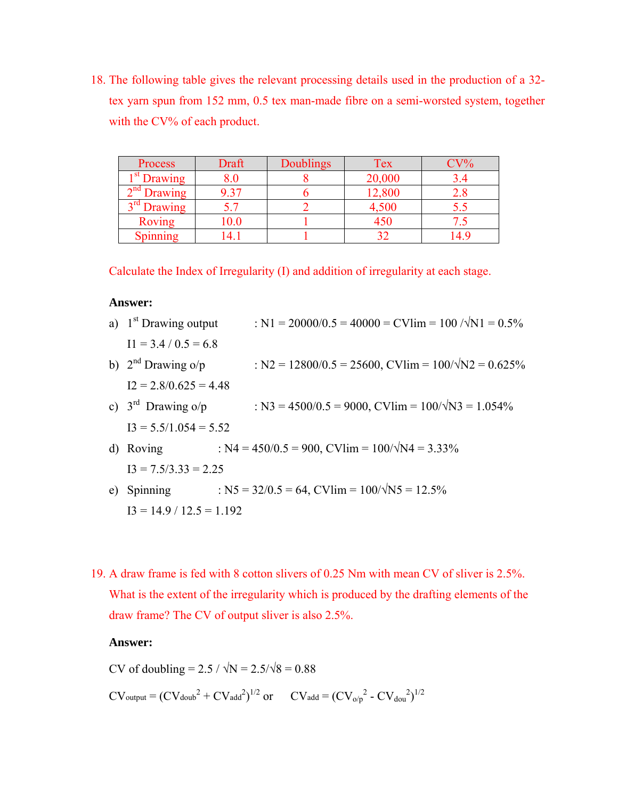18. The following table gives the relevant processing details used in the production of a 32 tex yarn spun from 152 mm, 0.5 tex man-made fibre on a semi-worsted system, together with the CV% of each product.

| Process                 | Draft     | <b>Doublings</b> | Tex    | $CV\%$ |
|-------------------------|-----------|------------------|--------|--------|
| 1 <sup>st</sup> Drawing | $\rm 8.0$ |                  | 20,000 |        |
| $2nd$ Drawing           | 9.37      |                  | 12,800 |        |
| $3rd$ Drawing           |           |                  | 4,500  |        |
| <b>Roving</b>           | 10.0      |                  | 450    |        |
| Spinning                | '4.       |                  | າາ     |        |

Calculate the Index of Irregularity (I) and addition of irregularity at each stage.

### **Answer:**

| a) $1st$ Drawing output    | : N1 = 20000/0.5 = 40000 = CVIim = 100 / $\sqrt{N1}$ = 0.5%         |
|----------------------------|---------------------------------------------------------------------|
| $I1 = 3.4 / 0.5 = 6.8$     |                                                                     |
| b) $2nd$ Drawing o/p       | : N2 = $12800/0.5 = 25600$ , CVIim = $100/\sqrt{N2} = 0.625\%$      |
| $I2 = 2.8/0.625 = 4.48$    |                                                                     |
| c) $3rd$ Drawing o/p       | : N3 = $4500/0.5 = 9000$ , CVIim = $100/\sqrt{\text{N3}} = 1.054\%$ |
| $I3 = 5.5/1.054 = 5.52$    |                                                                     |
| d) Roving                  | : N4 = $450/0.5 = 900$ , CVIim = $100/\sqrt{N4} = 3.33\%$           |
| $I3 = 7.5/3.33 = 2.25$     |                                                                     |
| e) Spinning                | : N5 = $32/0.5 = 64$ , CVIim = $100/\sqrt{\text{N}} = 12.5\%$       |
| $I3 = 14.9 / 12.5 = 1.192$ |                                                                     |

19. A draw frame is fed with 8 cotton slivers of 0.25 Nm with mean CV of sliver is 2.5%. What is the extent of the irregularity which is produced by the drafting elements of the draw frame? The CV of output sliver is also 2.5%.

## **Answer:**

CV of doubling =  $2.5 / \sqrt{N} = 2.5/\sqrt{8} = 0.88$ 

 $CV_{\text{output}} = (CV_{\text{doub}}^2 + CV_{\text{add}}^2)^{1/2}$  or  $CV_{\text{add}} = (CV_{\text{o/p}}^2 - CV_{\text{dou}}^2)^{1/2}$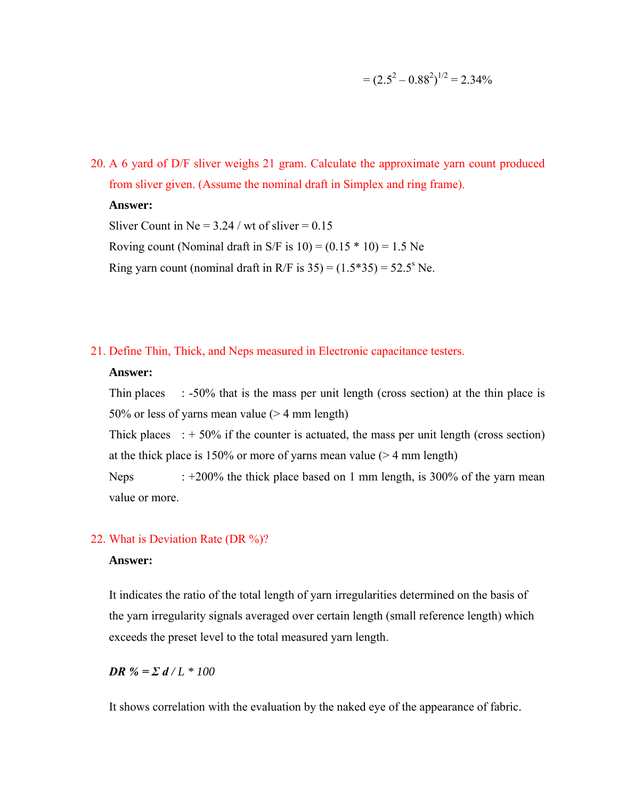$$
= (2.5^2 - 0.88^2)^{1/2} = 2.34\%
$$

20. A 6 yard of D/F sliver weighs 21 gram. Calculate the approximate yarn count produced from sliver given. (Assume the nominal draft in Simplex and ring frame).

## **Answer:**

Sliver Count in Ne =  $3.24$  / wt of sliver = 0.15 Roving count (Nominal draft in S/F is  $10 = (0.15 * 10) = 1.5$  Ne Ring yarn count (nominal draft in R/F is  $35 = (1.5*35) = 52.5^{\circ}$  Ne.

21. Define Thin, Thick, and Neps measured in Electronic capacitance testers.

## **Answer:**

Thin places : -50% that is the mass per unit length (cross section) at the thin place is 50% or less of yarns mean value (> 4 mm length)

Thick places  $\div$  50% if the counter is actuated, the mass per unit length (cross section) at the thick place is 150% or more of yarns mean value ( $>$  4 mm length)

Neps  $: +200\%$  the thick place based on 1 mm length, is 300% of the yarn mean value or more.

# 22. What is Deviation Rate (DR %)?

## **Answer:**

It indicates the ratio of the total length of yarn irregularities determined on the basis of the yarn irregularity signals averaged over certain length (small reference length) which exceeds the preset level to the total measured yarn length.

*DR* % =  $\sum d / L \cdot 100$ 

It shows correlation with the evaluation by the naked eye of the appearance of fabric.